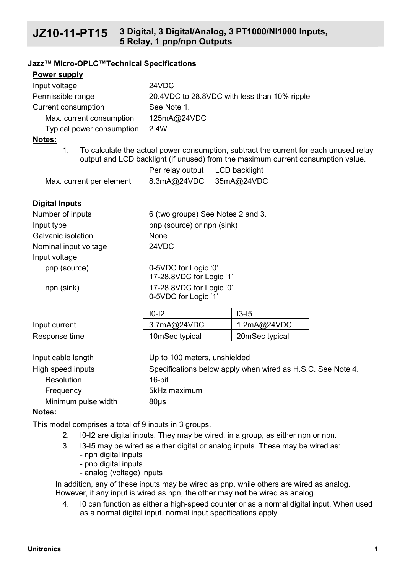# **JZ10-11-PT15 3 Digital, 3 Digital/Analog, 3 PT1000/NI1000 Inputs, 5 Relay, 1 pnp/npn Outputs**

#### **Jazz™ Micro-OPLC™Technical Specifications**

### **Power supply**

| Input voltage             | 24VDC                                        |
|---------------------------|----------------------------------------------|
| Permissible range         | 20.4VDC to 28.8VDC with less than 10% ripple |
| Current consumption       | See Note 1.                                  |
| Max. current consumption  | 125mA@24VDC                                  |
| Typical power consumption | 2 4W                                         |

### **Notes:**

1. To calculate the actual power consumption, subtract the current for each unused relay output and LCD backlight (if unused) from the maximum current consumption value.

|                          | Per relay output   LCD backlight |  |
|--------------------------|----------------------------------|--|
| Max. current per element | 8.3mA@24VDC 35mA@24VDC           |  |

### **Digital Inputs**

| Number of inputs                       | 6 (two groups) See Notes 2 and 3.                           |                |
|----------------------------------------|-------------------------------------------------------------|----------------|
| Input type                             | pnp (source) or npn (sink)                                  |                |
| Galvanic isolation                     | None                                                        |                |
| Nominal input voltage<br>Input voltage | 24VDC                                                       |                |
| pnp (source)                           | 0-5VDC for Logic '0'<br>17-28.8VDC for Logic '1'            |                |
| npn (sink)                             | 17-28.8VDC for Logic '0'<br>0-5VDC for Logic '1'            |                |
|                                        | $10-12$                                                     | $13-15$        |
| Input current                          | 3.7mA@24VDC                                                 | 1.2mA@24VDC    |
| Response time                          | 10mSec typical                                              | 20mSec typical |
| Input cable length                     | Up to 100 meters, unshielded                                |                |
| High speed inputs                      | Specifications below apply when wired as H.S.C. See Note 4. |                |
| Resolution                             | 16-hit                                                      |                |

#### Minimum pulse width 80us **Notes:**

This model comprises a total of 9 inputs in 3 groups.

Frequency 5kHz maximum

- 2. I0-I2 are digital inputs. They may be wired, in a group, as either npn or npn.
- 3. I3-I5 may be wired as either digital or analog inputs. These may be wired as:
	- npn digital inputs
	- pnp digital inputs
	- analog (voltage) inputs

In addition, any of these inputs may be wired as pnp, while others are wired as analog. However, if any input is wired as npn, the other may **not** be wired as analog.

4. I0 can function as either a high-speed counter or as a normal digital input. When used as a normal digital input, normal input specifications apply.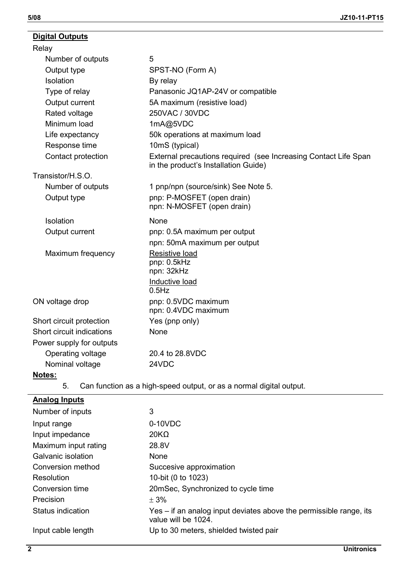# **Digital Outputs**

| Relay                     |                                                                                                         |
|---------------------------|---------------------------------------------------------------------------------------------------------|
| Number of outputs         | 5                                                                                                       |
| Output type               | SPST-NO (Form A)                                                                                        |
| Isolation                 | By relay                                                                                                |
| Type of relay             | Panasonic JQ1AP-24V or compatible                                                                       |
| Output current            | 5A maximum (resistive load)                                                                             |
| Rated voltage             | 250VAC / 30VDC                                                                                          |
| Minimum load              | 1mA@5VDC                                                                                                |
| Life expectancy           | 50k operations at maximum load                                                                          |
| Response time             | 10mS (typical)                                                                                          |
| Contact protection        | External precautions required (see Increasing Contact Life Span<br>in the product's Installation Guide) |
| Transistor/H.S.O.         |                                                                                                         |
| Number of outputs         | 1 pnp/npn (source/sink) See Note 5.                                                                     |
| Output type               | pnp: P-MOSFET (open drain)<br>npn: N-MOSFET (open drain)                                                |
| Isolation                 | None                                                                                                    |
| Output current            | pnp: 0.5A maximum per output                                                                            |
|                           | npn: 50mA maximum per output                                                                            |
| Maximum frequency         | Resistive load                                                                                          |
|                           | pnp: 0.5kHz<br>npn: 32kHz                                                                               |
|                           | Inductive load<br>0.5Hz                                                                                 |
| ON voltage drop           | pnp: 0.5VDC maximum<br>npn: 0.4VDC maximum                                                              |
| Short circuit protection  | Yes (pnp only)                                                                                          |
| Short circuit indications | None                                                                                                    |
| Power supply for outputs  |                                                                                                         |
| Operating voltage         | 20.4 to 28.8VDC                                                                                         |
| Nominal voltage           | 24VDC                                                                                                   |
| Notes:                    |                                                                                                         |

5. Can function as a high-speed output, or as a normal digital output.

# **Analog Inputs**

| Number of inputs     | 3                                                                                         |
|----------------------|-------------------------------------------------------------------------------------------|
| Input range          | $0-10VDC$                                                                                 |
| Input impedance      | $20K\Omega$                                                                               |
| Maximum input rating | 28.8V                                                                                     |
| Galvanic isolation   | None                                                                                      |
| Conversion method    | Succesive approximation                                                                   |
| Resolution           | 10-bit (0 to 1023)                                                                        |
| Conversion time      | 20mSec, Synchronized to cycle time                                                        |
| Precision            | $+3%$                                                                                     |
| Status indication    | Yes – if an analog input deviates above the permissible range, its<br>value will be 1024. |
| Input cable length   | Up to 30 meters, shielded twisted pair                                                    |
|                      |                                                                                           |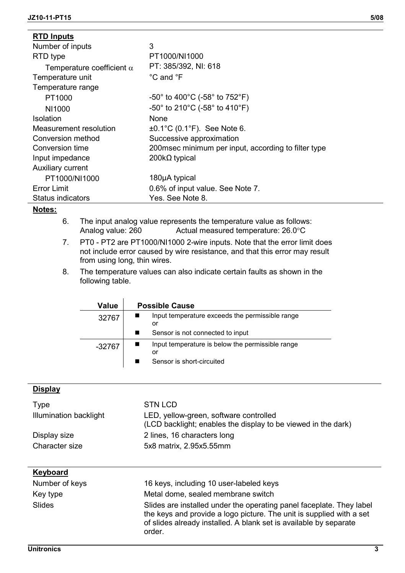| <b>RTD Inputs</b>                |                                                                        |
|----------------------------------|------------------------------------------------------------------------|
| Number of inputs                 | 3                                                                      |
| RTD type                         | PT1000/NI1000                                                          |
| Temperature coefficient $\alpha$ | PT: 385/392, NI: 618                                                   |
| Temperature unit                 | °C and °F                                                              |
| Temperature range                |                                                                        |
| PT1000                           | $-50^{\circ}$ to 400 $^{\circ}$ C (-58 $^{\circ}$ to 752 $^{\circ}$ F) |
| NI1000                           | $-50^{\circ}$ to 210 $^{\circ}$ C (-58 $^{\circ}$ to 410 $^{\circ}$ F) |
| Isolation                        | None                                                                   |
| Measurement resolution           | $\pm 0.1^{\circ}$ C (0.1 $^{\circ}$ F). See Note 6.                    |
| Conversion method                | Successive approximation                                               |
| Conversion time                  | 200 msec minimum per input, according to filter type                   |
| Input impedance                  | $200k\Omega$ typical                                                   |
| Auxiliary current                |                                                                        |
| PT1000/NI1000                    | 180µA typical                                                          |
| Error Limit                      | 0.6% of input value. See Note 7.                                       |
| Status indicators                | Yes. See Note 8.                                                       |

## **Notes:**

- 6. The input analog value represents the temperature value as follows: Analog value: 260 Actual measured temperature: 26.0°C
- 7. PT0 PT2 are PT1000/NI1000 2-wire inputs. Note that the error limit does not include error caused by wire resistance, and that this error may result from using long, thin wires.
- 8. The temperature values can also indicate certain faults as shown in the following table.

| Value  | <b>Possible Cause</b>                                  |
|--------|--------------------------------------------------------|
| 32767  | Input temperature exceeds the permissible range<br>or  |
|        | Sensor is not connected to input                       |
| -32767 | Input temperature is below the permissible range<br>or |
|        | Sensor is short-circuited                              |

#### **Display**

| Type                   | STN LCD                                                                                                 |
|------------------------|---------------------------------------------------------------------------------------------------------|
| Illumination backlight | LED, yellow-green, software controlled<br>(LCD backlight; enables the display to be viewed in the dark) |
| Display size           | 2 lines, 16 characters long                                                                             |
| Character size         | 5x8 matrix, 2.95x5.55mm                                                                                 |
|                        |                                                                                                         |

# **Keyboard**

| Number of keys |  |
|----------------|--|
| Kev tvpe       |  |
| Slides         |  |

16 keys, including 10 user-labeled keys Metal dome, sealed membrane switch

Slides are installed under the operating panel faceplate. They label the keys and provide a logo picture. The unit is supplied with a set of slides already installed. A blank set is available by separate order.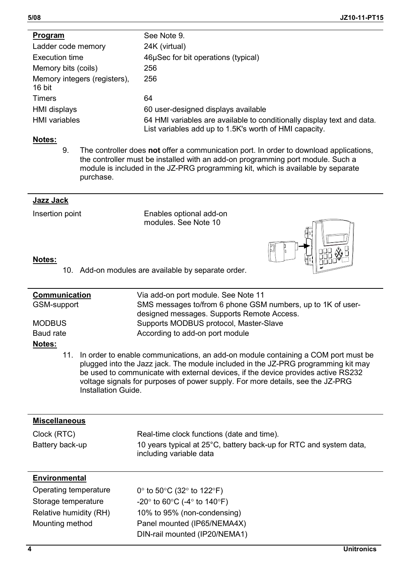| Program                                | See Note 9.                                                                                                                      |
|----------------------------------------|----------------------------------------------------------------------------------------------------------------------------------|
| Ladder code memory                     | 24K (virtual)                                                                                                                    |
| Execution time                         | 46uSec for bit operations (typical)                                                                                              |
| Memory bits (coils)                    | 256                                                                                                                              |
| Memory integers (registers).<br>16 bit | 256                                                                                                                              |
| Timers                                 | 64                                                                                                                               |
| HMI displays                           | 60 user-designed displays available                                                                                              |
| <b>HMI</b> variables                   | 64 HMI variables are available to conditionally display text and data.<br>List variables add up to 1.5K's worth of HMI capacity. |

## **Notes:**

9. The controller does **not** offer a communication port. In order to download applications, the controller must be installed with an add-on programming port module. Such a module is included in the JZ-PRG programming kit, which is available by separate purchase.

## **Jazz Jack**

Insertion point Enables optional add-on modules. See Note 10

## **Notes:**

- 10. Add-on modules are available by separate order.
- **Communication** Via add-on port module. See Note 11 GSM-support SMS messages to/from 6 phone GSM numbers, up to 1K of userdesigned messages. Supports Remote Access. MODBUS Supports MODBUS protocol, Master-Slave Baud rate **According to add-on port module Notes:**
	- 11. In order to enable communications, an add-on module containing a COM port must be plugged into the Jazz jack. The module included in the JZ-PRG programming kit may be used to communicate with external devices, if the device provides active RS232 voltage signals for purposes of power supply. For more details, see the JZ-PRG Installation Guide.

| <b>Miscellaneous</b>           |                                                                                                                                             |
|--------------------------------|---------------------------------------------------------------------------------------------------------------------------------------------|
| Clock (RTC)<br>Battery back-up | Real-time clock functions (date and time).<br>10 years typical at 25°C, battery back-up for RTC and system data,<br>including variable data |
| <b>Environmental</b>           |                                                                                                                                             |
| Operating temperature          | $0^{\circ}$ to 50 $^{\circ}$ C (32 $^{\circ}$ to 122 $^{\circ}$ F)                                                                          |
| Storage temperature            | $-20^\circ$ to 60 $\circ$ C (-4 $\circ$ to 140 $\circ$ F)                                                                                   |
| Relative humidity (RH)         | 10% to 95% (non-condensing)                                                                                                                 |
| Mounting method                | Panel mounted (IP65/NEMA4X)                                                                                                                 |
|                                | DIN-rail mounted (IP20/NEMA1)                                                                                                               |